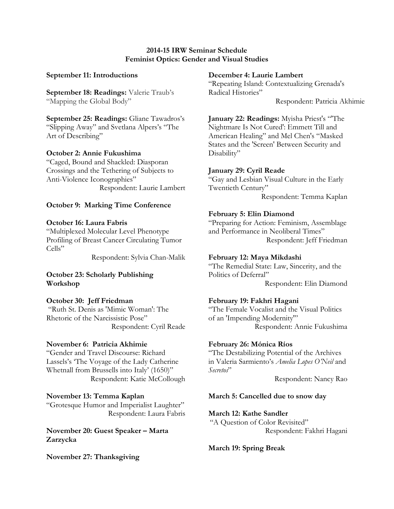### **2014-15 IRW Seminar Schedule Feminist Optics: Gender and Visual Studies**

### **September 11: Introductions**

**September 18: Readings:** Valerie Traub's "Mapping the Global Body"

**September 25: Readings:** Gliane Tawadros's "Slipping Away" and Svetlana Alpers's "The Art of Describing"

#### **October 2: Annie Fukushima**

"Caged, Bound and Shackled: Diasporan Crossings and the Tethering of Subjects to Anti-Violence Iconographies" Respondent: Laurie Lambert

#### **October 9: Marking Time Conference**

#### **October 16: Laura Fabris**

"Multiplexed Molecular Level Phenotype Profiling of Breast Cancer Circulating Tumor Cells"

Respondent: Sylvia Chan-Malik

# **October 23: Scholarly Publishing Workshop**

**October 30: Jeff Friedman**  "Ruth St. Denis as 'Mimic Woman': The Rhetoric of the Narcissistic Pose" Respondent: Cyril Reade

#### **November 6: Patricia Akhimie**

"Gender and Travel Discourse: Richard Lassels's 'The Voyage of the Lady Catherine Whetnall from Brussells into Italy' (1650)" Respondent: Katie McCollough

# **November 13: Temma Kaplan**

"Grotesque Humor and Imperialist Laughter" Respondent: Laura Fabris

**November 20: Guest Speaker – Marta Zarzycka**

**November 27: Thanksgiving**

#### **December 4: Laurie Lambert**

"Repeating Island: Contextualizing Grenada's Radical Histories"

Respondent: Patricia Akhimie

**January 22: Readings:** Myisha Priest's "'The Nightmare Is Not Cured': Emmett Till and American Healing" and Mel Chen's "Masked States and the 'Screen' Between Security and Disability"

#### **January 29: Cyril Reade**

"Gay and Lesbian Visual Culture in the Early Twentieth Century" Respondent: Temma Kaplan

# **February 5: Elin Diamond**

"Preparing for Action: Feminism, Assemblage and Performance in Neoliberal Times" Respondent: Jeff Friedman

### **February 12: Maya Mikdashi**

"The Remedial State: Law, Sincerity, and the Politics of Deferral" Respondent: Elin Diamond

# **February 19: Fakhri Hagani**

"The Female Vocalist and the Visual Politics of an 'Impending Modernity'" Respondent: Annie Fukushima

#### **February 26: Mónica Ríos**

"The Destabilizing Potential of the Archives in Valeria Sarmiento's *Amelia Lopes O'Neil* and *Secretos*"

Respondent: Nancy Rao

# **March 5: Cancelled due to snow day**

#### **March 12: Kathe Sandler**

"A Question of Color Revisited" Respondent: Fakhri Hagani

# **March 19: Spring Break**